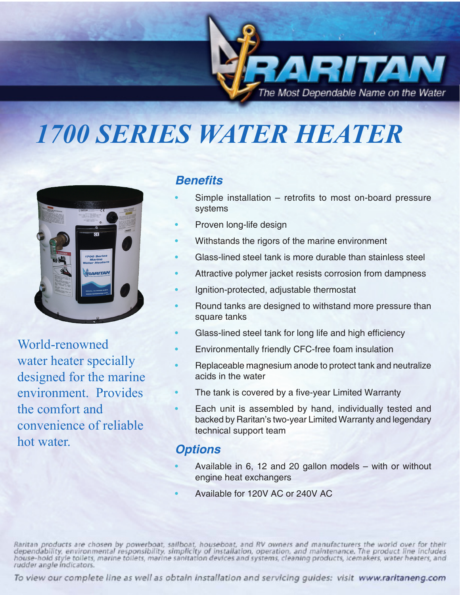

# *1700 SERIES WATER HEATER*



World-renowned water heater specially designed for the marine environment. Provides the comfort and convenience of reliable hot water.

### **Benefits**

- Simple installation  $-$  retrofits to most on-board pressure systems
- Proven long-life design
- Withstands the rigors of the marine environment
- Glass-lined steel tank is more durable than stainless steel
- Attractive polymer jacket resists corrosion from dampness
- Ignition-protected, adjustable thermostat
- Round tanks are designed to withstand more pressure than square tanks
- Glass-lined steel tank for long life and high efficiency
- Environmentally friendly CFC-free foam insulation
- Replaceable magnesium anode to protect tank and neutralize acids in the water
- The tank is covered by a five-year Limited Warranty
- Each unit is assembled by hand, individually tested and backed by Raritan's two-year Limited Warranty and legendary technical support team

### **Options**

- Available in 6, 12 and 20 gallon models  $-$  with or without engine heat exchangers
- Available for 120V AC or 240V AC

Raritan products are chosen by powerboat, sailboat, houseboat, and RV owners and manufacturers the world over for their<br>dependability, environmental responsibility, simplicity of installation, operation, and maintenance. T rudder angle indicators.

To view our complete line as well as obtain installation and servicing guides: visit www.raritaneng.com